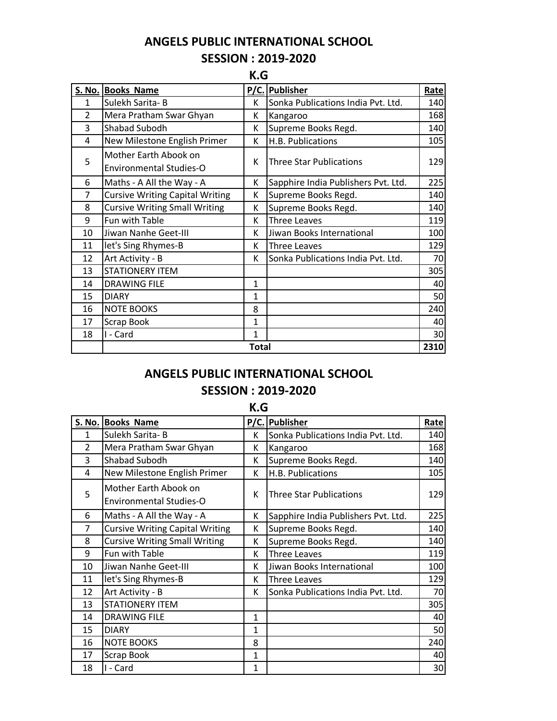**ANGELS PUBLIC INTERNATIONAL SCHOOL SESSION : 2019-2020**

**K.G**

| <b>S. No.</b>  | <b>Books Name</b>                      | P/C.         | <b>Publisher</b>                    | Rate |  |
|----------------|----------------------------------------|--------------|-------------------------------------|------|--|
| 1              | Sulekh Sarita-B                        | К            | Sonka Publications India Pvt. Ltd.  | 140  |  |
| $\overline{2}$ | Mera Pratham Swar Ghyan                | к            | Kangaroo                            | 168  |  |
| 3              | Shabad Subodh                          | К            | Supreme Books Regd.                 | 140  |  |
| 4              | New Milestone English Primer           | К            | H.B. Publications                   | 105  |  |
| 5              | Mother Earth Abook on                  | к            | <b>Three Star Publications</b>      | 129  |  |
|                | <b>Environmental Studies-O</b>         |              |                                     |      |  |
| 6              | Maths - A All the Way - A              | К            | Sapphire India Publishers Pvt. Ltd. | 225  |  |
| 7              | <b>Cursive Writing Capital Writing</b> | К            | Supreme Books Regd.                 | 140  |  |
| 8              | <b>Cursive Writing Small Writing</b>   | К            | Supreme Books Regd.                 | 140  |  |
| 9              | Fun with Table                         | K            | Three Leaves                        | 119  |  |
| 10             | Jiwan Nanhe Geet-III                   | К            | Jiwan Books International           | 100  |  |
| 11             | let's Sing Rhymes-B                    | K.           | Three Leaves                        | 129  |  |
| 12             | Art Activity - B                       | к            | Sonka Publications India Pvt. Ltd.  | 70   |  |
| 13             | <b>STATIONERY ITEM</b>                 |              |                                     | 305  |  |
| 14             | <b>DRAWING FILE</b>                    | $\mathbf{1}$ |                                     | 40   |  |
| 15             | <b>DIARY</b>                           | $\mathbf{1}$ |                                     | 50   |  |
| 16             | <b>NOTE BOOKS</b>                      | 8            |                                     | 240  |  |
| 17             | Scrap Book                             | $\mathbf{1}$ |                                     | 40   |  |
| 18             | I - Card                               | $\mathbf{1}$ |                                     | 30   |  |
|                | 2310<br>Total                          |              |                                     |      |  |

## **ANGELS PUBLIC INTERNATIONAL SCHOOL SESSION : 2019-2020**

## **K.G**

| <b>S. No.</b> | <b>Books Name</b>                                       |              | P/C. Publisher                      | Rate |
|---------------|---------------------------------------------------------|--------------|-------------------------------------|------|
| 1             | Sulekh Sarita-B                                         | K            | Sonka Publications India Pvt. Ltd.  | 140  |
| 2             | Mera Pratham Swar Ghyan                                 | К            | Kangaroo                            | 168  |
| 3             | Shabad Subodh                                           | К            | Supreme Books Regd.                 | 140  |
| 4             | New Milestone English Primer                            | K            | H.B. Publications                   | 105  |
| 5             | Mother Earth Abook on<br><b>Environmental Studies-O</b> | К            | <b>Three Star Publications</b>      | 129  |
| 6             | Maths - A All the Way - A                               | К            | Sapphire India Publishers Pvt. Ltd. | 225  |
| 7             | <b>Cursive Writing Capital Writing</b>                  | К            | Supreme Books Regd.                 | 140  |
| 8             | <b>Cursive Writing Small Writing</b>                    | К            | Supreme Books Regd.                 | 140  |
| 9             | Fun with Table                                          | Κ            | <b>Three Leaves</b>                 | 119  |
| 10            | Jiwan Nanhe Geet-III                                    | K            | Jiwan Books International           | 100  |
| 11            | let's Sing Rhymes-B                                     | К            | <b>Three Leaves</b>                 | 129  |
| 12            | Art Activity - B                                        | К            | Sonka Publications India Pvt. Ltd.  | 70   |
| 13            | <b>STATIONERY ITEM</b>                                  |              |                                     | 305  |
| 14            | <b>DRAWING FILE</b>                                     | $\mathbf{1}$ |                                     | 40   |
| 15            | <b>DIARY</b>                                            | $\mathbf{1}$ |                                     | 50   |
| 16            | <b>NOTE BOOKS</b>                                       | 8            |                                     | 240  |
| 17            | Scrap Book                                              | 1            |                                     | 40   |
| 18            | I - Card                                                | $\mathbf{1}$ |                                     | 30   |